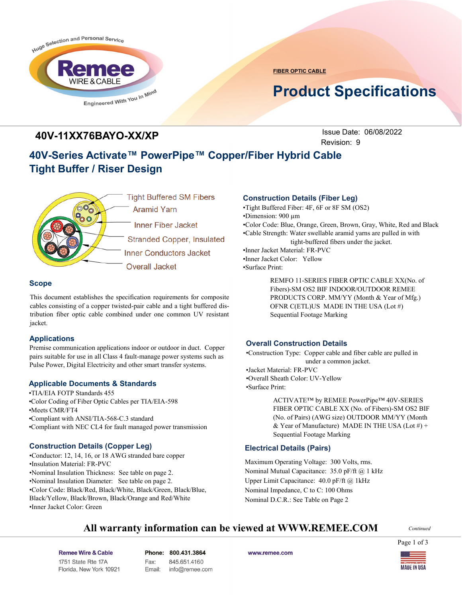

**FIBER OPTIC CABLE**

# **Product Specifications**

### **40V-11XX76BAYO-XX/XP**

Issue Date: 06/08/2022 Revision: 9

# **40V-Series Activate™ PowerPipe™ Copper/Fiber Hybrid Cable Tight Buffer / Riser Design**



### **Scope**

This document establishes the specification requirements for composite cables consisting of a copper twisted-pair cable and a tight buffered distribution fiber optic cable combined under one common UV resistant jacket.

### **Applications**

Premise communication applications indoor or outdoor in duct. Copper pairs suitable for use in all Class 4 fault-manage power systems such as Pulse Power, Digital Electricity and other smart transfer systems.

### **Applicable Documents & Standards**

•TIA/EIA FOTP Standards 455 •Color Coding of Fiber Optic Cables per TIA/EIA-598 •Meets CMR/FT4 •Compliant with ANSI/TIA-568-C.3 standard •Compliant with NEC CL4 for fault managed power transmission

### **Construction Details (Copper Leg)**

•Conductor: 12, 14, 16, or 18 AWG stranded bare copper •Insulation Material: FR-PVC •Nominal Insulation Thickness: See table on page 2. •Nominal Insulation Diameter: See table on page 2. •Color Code: Black/Red, Black/White, Black/Green, Black/Blue, Black/Yellow, Black/Brown, Black/Orange and Red/White •Inner Jacket Color: Green

### **Construction Details (Fiber Leg)**

•Tight Buffered Fiber: 4F, 6F or 8F SM (OS2) •Dimension: 900 µm •Color Code: Blue, Orange, Green, Brown, Gray, White, Red and Black •Cable Strength: Water swellable aramid yarns are pulled in with tight-buffered fibers under the jacket. •Inner Jacket Material: FR-PVC •Inner Jacket Color: Yellow •Surface Print:

> REMFO 11-SERIES FIBER OPTIC CABLE XX(No. of Fibers)-SM OS2 BIF INDOOR/OUTDOOR REMEE PRODUCTS CORP. MM/YY (Month & Year of Mfg.) OFNR C(ETL)US MADE IN THE USA (Lot #) Sequential Footage Marking

### **Overall Construction Details**

•Construction Type: Copper cable and fiber cable are pulled in under a common jacket.

•Jacket Material: FR-PVC •Overall Sheath Color: UV-Yellow •Surface Print:

> ACTIVATE™ by REMEE PowerPipe™ 40V-SERIES FIBER OPTIC CABLE XX (No. of Fibers)-SM OS2 BIF (No. of Pairs) (AWG size) OUTDOOR MM/YY (Month & Year of Manufacture) MADE IN THE USA (Lot  $#$ ) + Sequential Footage Marking

### **Electrical Details (Pairs)**

Maximum Operating Voltage: 300 Volts, rms. Nominal Mutual Capacitance: 35.0 pF/ft @ 1 kHz Upper Limit Capacitance: 40.0 pF/ft @ 1kHz Nominal Impedance, C to C: 100 Ohms Nominal D.C.R.: See Table on Page 2

### **All warranty information can be viewed at WWW.REMEE.COM**

*Continued*

Page 1 of 3

Remee Wire & Cable Issue No.: 05 Florida, New York 10921 Phone: 800.431.3864 845.651.4160 Fax: Email: info@remee.com www.remee.com

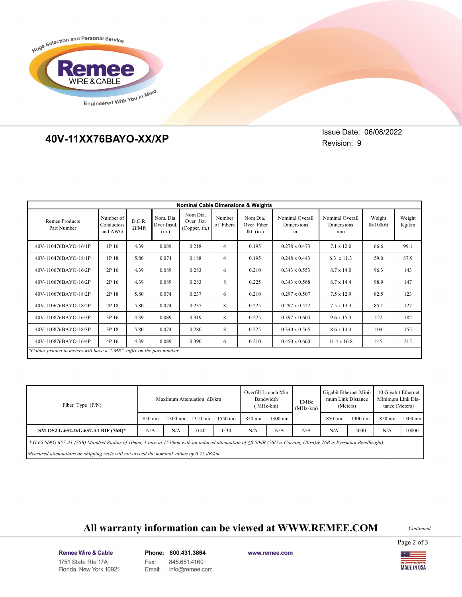

## **40V-11XX76BAYO-XX/XP 40V-11XX76BAYO-XX/XP**

Issue Date: 06/08/2022 Revision: 9

| <b>Nominal Cable Dimensions &amp; Weights</b>                          |                                    |                        |                                   |                                        |                     |                                        |                                      |                                     |                     |                 |  |
|------------------------------------------------------------------------|------------------------------------|------------------------|-----------------------------------|----------------------------------------|---------------------|----------------------------------------|--------------------------------------|-------------------------------------|---------------------|-----------------|--|
| Remee Products<br>Part Number                                          | Number of<br>Conductors<br>and AWG | D.C.R.<br>$\Omega/Mft$ | Nom. Dia.<br>Over Insul.<br>(in.) | Nom Dia.<br>Over Jkt.<br>(Copper, in.) | Number<br>of Fibers | Nom Dia.<br>Over Fiber<br>Jkt. $(in.)$ | Nominal Overall<br>Dimensions<br>in. | Nominal Overall<br>Dimensions<br>mm | Weight<br>lb/1000ft | Weight<br>Kg/km |  |
| 40V-110476BAYO-16/1P                                                   | 1P 16                              | 4.39                   | 0.089                             | 0.218                                  | $\overline{4}$      | 0.195                                  | $0.278 \times 0.473$                 | $7.1 \times 12.0$                   | 66.6                | 99.1            |  |
| 40V-110476BAYO-18/1P                                                   | 1P 18                              | 5.80                   | 0.074                             | 0.188                                  | $\overline{4}$      | 0.195                                  | $0.248 \times 0.443$                 | 6.3 x 11.3                          | 59.0                | 87.9            |  |
| 40V-110676BAYO-16/2P                                                   | 2P 16                              | 4.39                   | 0.089                             | 0.283                                  | 6                   | 0.210                                  | $0.343 \times 0.553$                 | 8.7 x 14.0                          | 96.3                | 143             |  |
| 40V-110676BAYO-16/2P                                                   | 2P 16                              | 4.39                   | 0.089                             | 0.283                                  | 8                   | 0.225                                  | $0.343 \times 0.568$                 | 8.7 x 14.4                          | 98.9                | 147             |  |
| 40V-110676BAYO-18/2P                                                   | 2P 18                              | 5.80                   | 0.074                             | 0.237                                  | 6                   | 0.210                                  | $0.297 \times 0.507$                 | $7.5 \times 12.9$                   | 82.5                | 123             |  |
| 40V-110676BAYO-18/2P                                                   | 2P 18                              | 5.80                   | 0.074                             | 0.237                                  | 8                   | 0.225                                  | $0.297 \times 0.522$                 | $7.5 \times 13.3$                   | 85.1                | 127             |  |
| 40V-110876BAYO-16/3P                                                   | 3P 16                              | 4.39                   | 0.089                             | 0.319                                  | 8                   | 0.225                                  | $0.397 \times 0.604$                 | $9.6 \times 15.3$                   | 122                 | 182             |  |
| 40V-110876BAYO-18/3P                                                   | 3P 18                              | 5.80                   | 0.074                             | 0.280                                  | 8                   | 0.225                                  | $0.340 \times 0.565$                 | 8.6 x 14.4                          | 104                 | 155             |  |
| 40V-110876BAYO-16/4P                                                   | 4P 16                              | 4.39                   | 0.089                             | 0.390                                  | 6                   | 0.210                                  | $0.450 \times 0.660$                 | $11.4 \times 16.8$                  | 145                 | 215             |  |
| *Cables printed in meters will have a "-MR" suffix on the part number. |                                    |                        |                                   |                                        |                     |                                        |                                      |                                     |                     |                 |  |

| Fiber Type $(P/N)$                                                                                                                                                     | Maximum Attenuation dB/km |                   |                   |         | Overfill Launch Min<br>Bandwidth<br>(MHz-km) |         | <b>EMBc</b><br>$(MHz-km)$ | Gigabit Ethernet Mini-<br>mum Link Distance<br>(Meters) |         | 10 Gigabit Ethernet<br>Minimum Link Dis-<br>tance (Meters) |           |
|------------------------------------------------------------------------------------------------------------------------------------------------------------------------|---------------------------|-------------------|-------------------|---------|----------------------------------------------|---------|---------------------------|---------------------------------------------------------|---------|------------------------------------------------------------|-----------|
|                                                                                                                                                                        | 850 nm                    | $1300 \text{ nm}$ | $1310 \text{ nm}$ | 1550 nm | 850 nm                                       | 1300 nm |                           | $850 \text{ nm}$                                        | 1300 nm | 850 nm                                                     | $1300$ nm |
| SM OS2 G.652.D/G.657.A1 BIF (76B)*                                                                                                                                     | N/A                       | N/A               | 0.40              | 0.30    | N/A                                          | N/A     | N/A                       | N/A                                                     | 5000    | N/A                                                        | 10000     |
| * $G.652d\&G.657.$ Al (76B) Mandrel Radius of 10mm, 1 turn at 1550nm with an induced attenuation of $\leq 0.50dB$ (76U is Corning Ultra) & 76B is Pyrsmian Bendbright) |                           |                   |                   |         |                                              |         |                           |                                                         |         |                                                            |           |
| Measured attenuations on shipping reels will not exceed the nominal values by $0.75$ dB/km                                                                             |                           |                   |                   |         |                                              |         |                           |                                                         |         |                                                            |           |

# **All warranty information can be viewed at WWW.REMEE.COM**

*Continued*

Page 2 of 3

Remee Wire & Cable Issue No.: 05 Florida, New York 10921 Phone: 800.431.3864 Fax: 845.651.4160 Email: info@remee.com www.remee.com